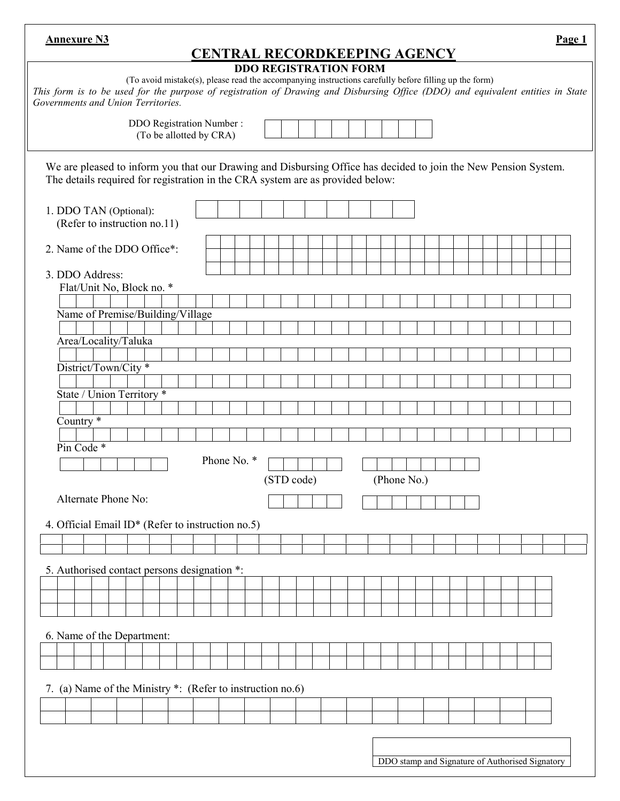| <b>Annexure N3</b><br><b>CENTRAL RECORDKEEPING AGENCY</b>                                                                                                                                                                                                                                                      | Page 1                                          |  |  |  |  |  |
|----------------------------------------------------------------------------------------------------------------------------------------------------------------------------------------------------------------------------------------------------------------------------------------------------------------|-------------------------------------------------|--|--|--|--|--|
| <b>DDO REGISTRATION FORM</b><br>(To avoid mistake(s), please read the accompanying instructions carefully before filling up the form)<br>This form is to be used for the purpose of registration of Drawing and Disbursing Office (DDO) and equivalent entities in State<br>Governments and Union Territories. |                                                 |  |  |  |  |  |
| <b>DDO Registration Number:</b><br>(To be allotted by CRA)                                                                                                                                                                                                                                                     |                                                 |  |  |  |  |  |
| We are pleased to inform you that our Drawing and Disbursing Office has decided to join the New Pension System.<br>The details required for registration in the CRA system are as provided below:                                                                                                              |                                                 |  |  |  |  |  |
| 1. DDO TAN (Optional):<br>(Refer to instruction no.11)                                                                                                                                                                                                                                                         |                                                 |  |  |  |  |  |
| 2. Name of the DDO Office*:                                                                                                                                                                                                                                                                                    |                                                 |  |  |  |  |  |
| 3. DDO Address:                                                                                                                                                                                                                                                                                                |                                                 |  |  |  |  |  |
| Flat/Unit No, Block no. *                                                                                                                                                                                                                                                                                      |                                                 |  |  |  |  |  |
| Name of Premise/Building/Village                                                                                                                                                                                                                                                                               |                                                 |  |  |  |  |  |
|                                                                                                                                                                                                                                                                                                                |                                                 |  |  |  |  |  |
| Area/Locality/Taluka                                                                                                                                                                                                                                                                                           |                                                 |  |  |  |  |  |
| District/Town/City *                                                                                                                                                                                                                                                                                           |                                                 |  |  |  |  |  |
|                                                                                                                                                                                                                                                                                                                |                                                 |  |  |  |  |  |
| State / Union Territory *                                                                                                                                                                                                                                                                                      |                                                 |  |  |  |  |  |
|                                                                                                                                                                                                                                                                                                                |                                                 |  |  |  |  |  |
| Country <sup>*</sup>                                                                                                                                                                                                                                                                                           |                                                 |  |  |  |  |  |
| Pin Code *                                                                                                                                                                                                                                                                                                     |                                                 |  |  |  |  |  |
| Phone No. *                                                                                                                                                                                                                                                                                                    |                                                 |  |  |  |  |  |
|                                                                                                                                                                                                                                                                                                                | (Phone No.)                                     |  |  |  |  |  |
| (STD code)                                                                                                                                                                                                                                                                                                     |                                                 |  |  |  |  |  |
| Alternate Phone No:                                                                                                                                                                                                                                                                                            |                                                 |  |  |  |  |  |
| 4. Official Email ID* (Refer to instruction no.5)                                                                                                                                                                                                                                                              |                                                 |  |  |  |  |  |
|                                                                                                                                                                                                                                                                                                                |                                                 |  |  |  |  |  |
|                                                                                                                                                                                                                                                                                                                |                                                 |  |  |  |  |  |
| 5. Authorised contact persons designation *:                                                                                                                                                                                                                                                                   |                                                 |  |  |  |  |  |
|                                                                                                                                                                                                                                                                                                                |                                                 |  |  |  |  |  |
|                                                                                                                                                                                                                                                                                                                |                                                 |  |  |  |  |  |
|                                                                                                                                                                                                                                                                                                                |                                                 |  |  |  |  |  |
| 6. Name of the Department:                                                                                                                                                                                                                                                                                     |                                                 |  |  |  |  |  |
|                                                                                                                                                                                                                                                                                                                |                                                 |  |  |  |  |  |
|                                                                                                                                                                                                                                                                                                                |                                                 |  |  |  |  |  |
| 7. (a) Name of the Ministry *: (Refer to instruction no.6)                                                                                                                                                                                                                                                     |                                                 |  |  |  |  |  |
|                                                                                                                                                                                                                                                                                                                |                                                 |  |  |  |  |  |
|                                                                                                                                                                                                                                                                                                                |                                                 |  |  |  |  |  |
|                                                                                                                                                                                                                                                                                                                |                                                 |  |  |  |  |  |
|                                                                                                                                                                                                                                                                                                                |                                                 |  |  |  |  |  |
|                                                                                                                                                                                                                                                                                                                | DDO stamp and Signature of Authorised Signatory |  |  |  |  |  |